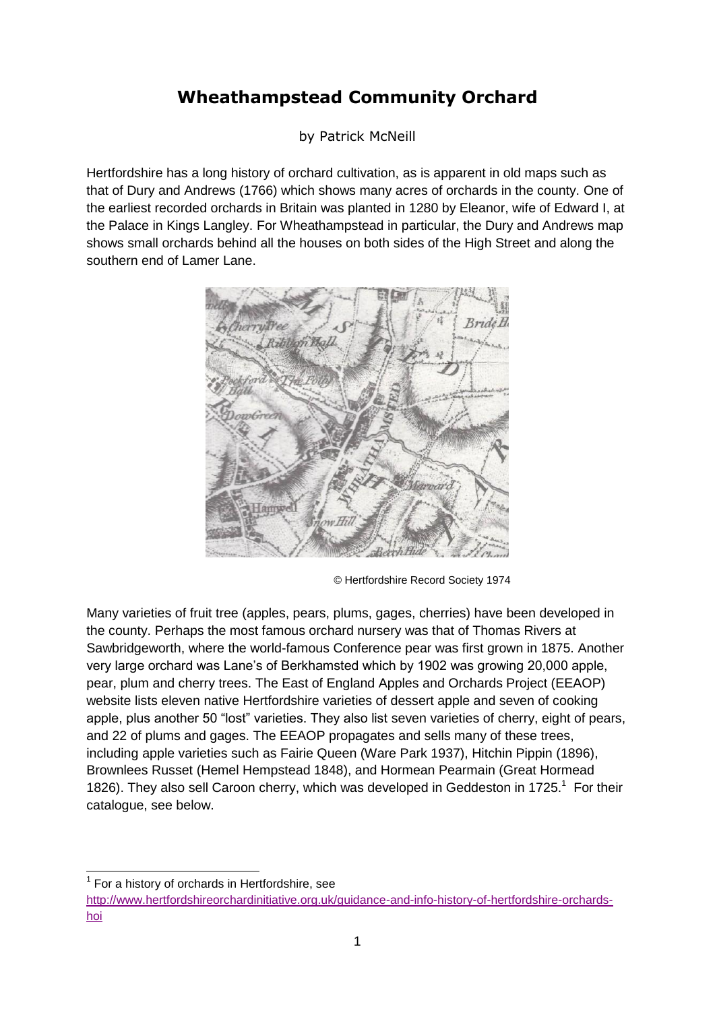## **Wheathampstead Community Orchard**

by Patrick McNeill

Hertfordshire has a long history of orchard cultivation, as is apparent in old maps such as that of Dury and Andrews (1766) which shows many acres of orchards in the county. One of the earliest recorded orchards in Britain was planted in 1280 by Eleanor, wife of Edward I, at the Palace in Kings Langley. For Wheathampstead in particular, the Dury and Andrews map shows small orchards behind all the houses on both sides of the High Street and along the southern end of Lamer Lane.



© Hertfordshire Record Society 1974

Many varieties of fruit tree (apples, pears, plums, gages, cherries) have been developed in the county. Perhaps the most famous orchard nursery was that of Thomas Rivers at Sawbridgeworth, where the world-famous Conference pear was first grown in 1875. Another very large orchard was Lane's of Berkhamsted which by 1902 was growing 20,000 apple, pear, plum and cherry trees. The East of England Apples and Orchards Project (EEAOP) website lists eleven native Hertfordshire varieties of dessert apple and seven of cooking apple, plus another 50 "lost" varieties. They also list seven varieties of cherry, eight of pears, and 22 of plums and gages. The EEAOP propagates and sells many of these trees, including apple varieties such as Fairie Queen (Ware Park 1937), Hitchin Pippin (1896), Brownlees Russet (Hemel Hempstead 1848), and Hormean Pearmain (Great Hormead 1826). They also sell Caroon cherry, which was developed in Geddeston in 1725. $<sup>1</sup>$  For their</sup> catalogue, see below.

<sup>-</sup><sup>1</sup> For a history of orchards in Hertfordshire, see

[http://www.hertfordshireorchardinitiative.org.uk/guidance-and-info-history-of-hertfordshire-orchards](http://www.hertfordshireorchardinitiative.org.uk/guidance-and-info-history-of-hertfordshire-orchards-hoi)[hoi](http://www.hertfordshireorchardinitiative.org.uk/guidance-and-info-history-of-hertfordshire-orchards-hoi)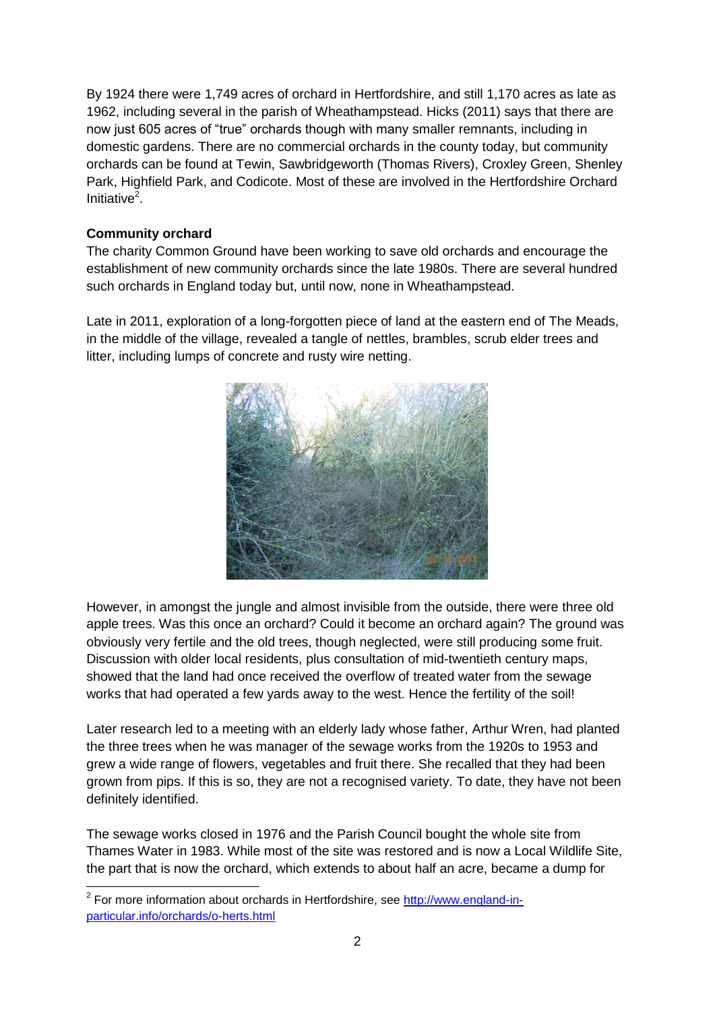By 1924 there were 1,749 acres of orchard in Hertfordshire, and still 1,170 acres as late as 1962, including several in the parish of Wheathampstead. Hicks (2011) says that there are now just 605 acres of "true" orchards though with many smaller remnants, including in domestic gardens. There are no commercial orchards in the county today, but community orchards can be found at Tewin, Sawbridgeworth (Thomas Rivers), Croxley Green, Shenley Park, Highfield Park, and Codicote. Most of these are involved in the Hertfordshire Orchard Initiative<sup>2</sup>.

### **Community orchard**

The charity Common Ground have been working to save old orchards and encourage the establishment of new community orchards since the late 1980s. There are several hundred such orchards in England today but, until now, none in Wheathampstead.

Late in 2011, exploration of a long-forgotten piece of land at the eastern end of The Meads, in the middle of the village, revealed a tangle of nettles, brambles, scrub elder trees and litter, including lumps of concrete and rusty wire netting.



However, in amongst the jungle and almost invisible from the outside, there were three old apple trees. Was this once an orchard? Could it become an orchard again? The ground was obviously very fertile and the old trees, though neglected, were still producing some fruit. Discussion with older local residents, plus consultation of mid-twentieth century maps, showed that the land had once received the overflow of treated water from the sewage works that had operated a few yards away to the west. Hence the fertility of the soil!

Later research led to a meeting with an elderly lady whose father, Arthur Wren, had planted the three trees when he was manager of the sewage works from the 1920s to 1953 and grew a wide range of flowers, vegetables and fruit there. She recalled that they had been grown from pips. If this is so, they are not a recognised variety. To date, they have not been definitely identified.

The sewage works closed in 1976 and the Parish Council bought the whole site from Thames Water in 1983. While most of the site was restored and is now a Local Wildlife Site, the part that is now the orchard, which extends to about half an acre, became a dump for

<sup>2</sup> For more information about orchards in Hertfordshire, see [http://www.england-in](http://www.england-in-particular.info/orchards/o-herts.html)[particular.info/orchards/o-herts.html](http://www.england-in-particular.info/orchards/o-herts.html)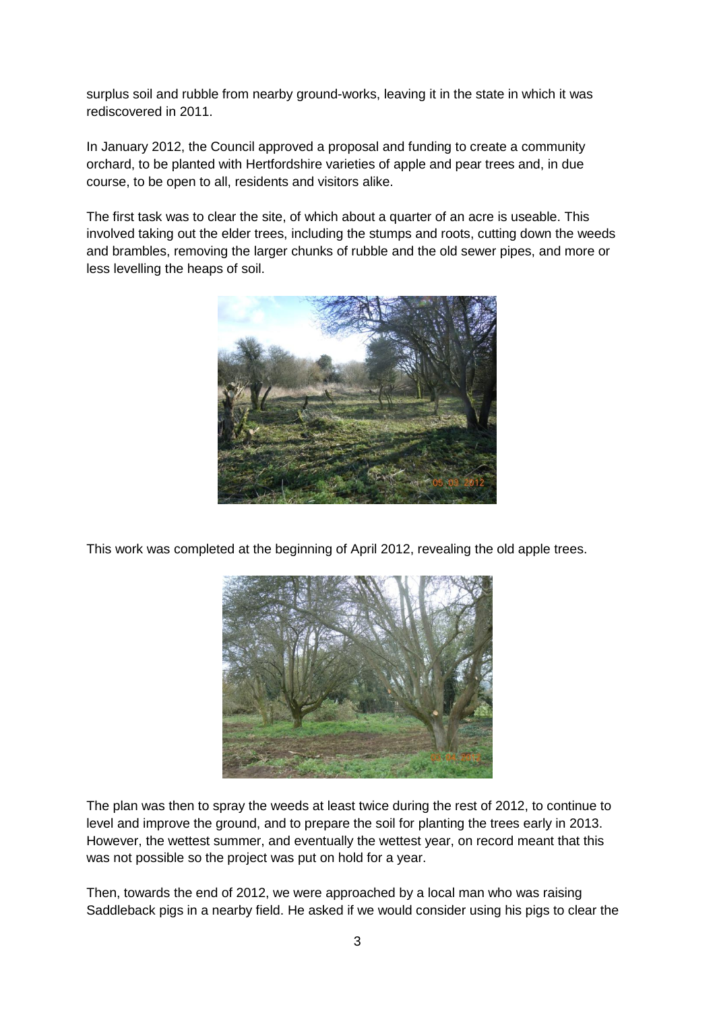surplus soil and rubble from nearby ground-works, leaving it in the state in which it was rediscovered in 2011.

In January 2012, the Council approved a proposal and funding to create a community orchard, to be planted with Hertfordshire varieties of apple and pear trees and, in due course, to be open to all, residents and visitors alike.

The first task was to clear the site, of which about a quarter of an acre is useable. This involved taking out the elder trees, including the stumps and roots, cutting down the weeds and brambles, removing the larger chunks of rubble and the old sewer pipes, and more or less levelling the heaps of soil.



This work was completed at the beginning of April 2012, revealing the old apple trees.



The plan was then to spray the weeds at least twice during the rest of 2012, to continue to level and improve the ground, and to prepare the soil for planting the trees early in 2013. However, the wettest summer, and eventually the wettest year, on record meant that this was not possible so the project was put on hold for a year.

Then, towards the end of 2012, we were approached by a local man who was raising Saddleback pigs in a nearby field. He asked if we would consider using his pigs to clear the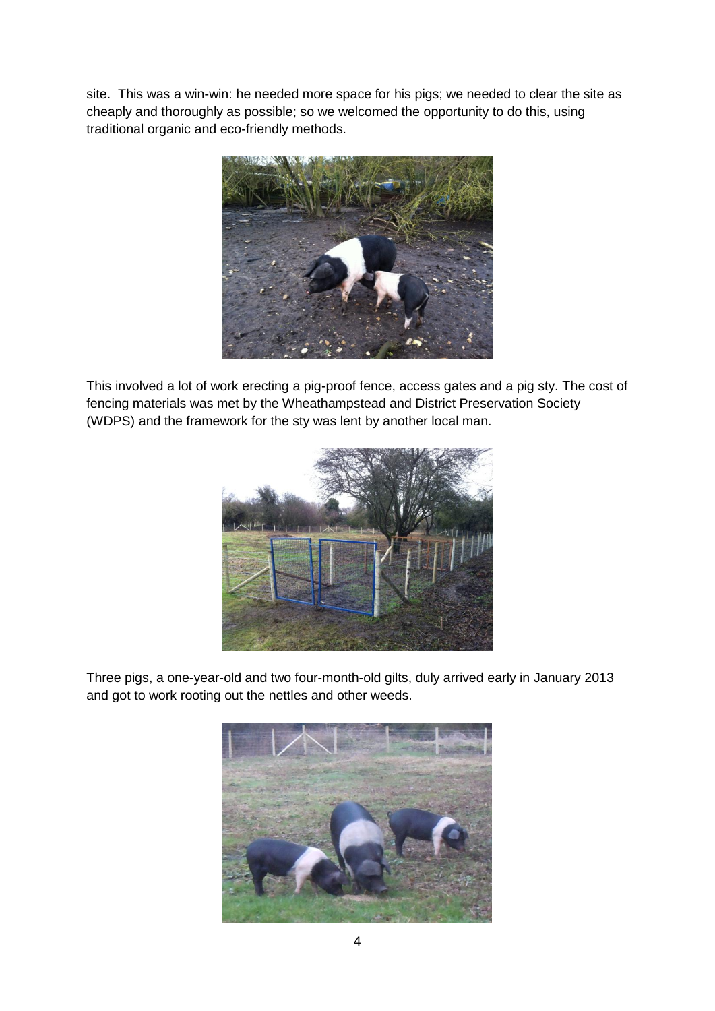site. This was a win-win: he needed more space for his pigs; we needed to clear the site as cheaply and thoroughly as possible; so we welcomed the opportunity to do this, using traditional organic and eco-friendly methods.



This involved a lot of work erecting a pig-proof fence, access gates and a pig sty. The cost of fencing materials was met by the Wheathampstead and District Preservation Society (WDPS) and the framework for the sty was lent by another local man.



Three pigs, a one-year-old and two four-month-old gilts, duly arrived early in January 2013 and got to work rooting out the nettles and other weeds.

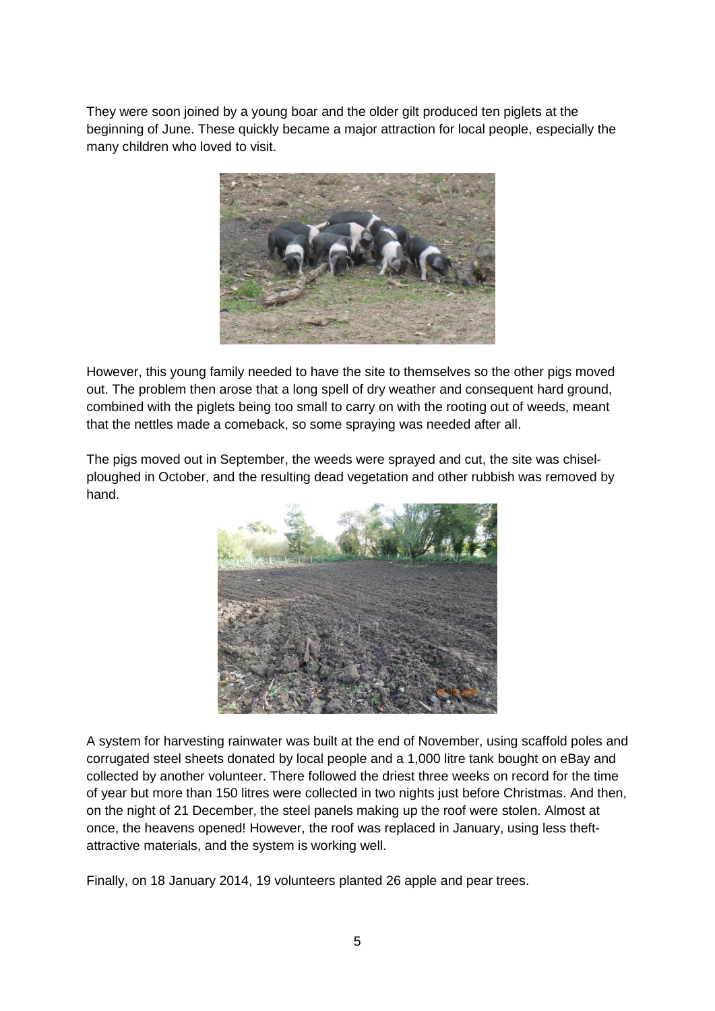They were soon joined by a young boar and the older gilt produced ten piglets at the beginning of June. These quickly became a major attraction for local people, especially the many children who loved to visit.



However, this young family needed to have the site to themselves so the other pigs moved out. The problem then arose that a long spell of dry weather and consequent hard ground, combined with the piglets being too small to carry on with the rooting out of weeds, meant that the nettles made a comeback, so some spraying was needed after all.

The pigs moved out in September, the weeds were sprayed and cut, the site was chiselploughed in October, and the resulting dead vegetation and other rubbish was removed by hand.



A system for harvesting rainwater was built at the end of November, using scaffold poles and corrugated steel sheets donated by local people and a 1,000 litre tank bought on eBay and collected by another volunteer. There followed the driest three weeks on record for the time of year but more than 150 litres were collected in two nights just before Christmas. And then, on the night of 21 December, the steel panels making up the roof were stolen. Almost at once, the heavens opened! However, the roof was replaced in January, using less theftattractive materials, and the system is working well.

Finally, on 18 January 2014, 19 volunteers planted 26 apple and pear trees.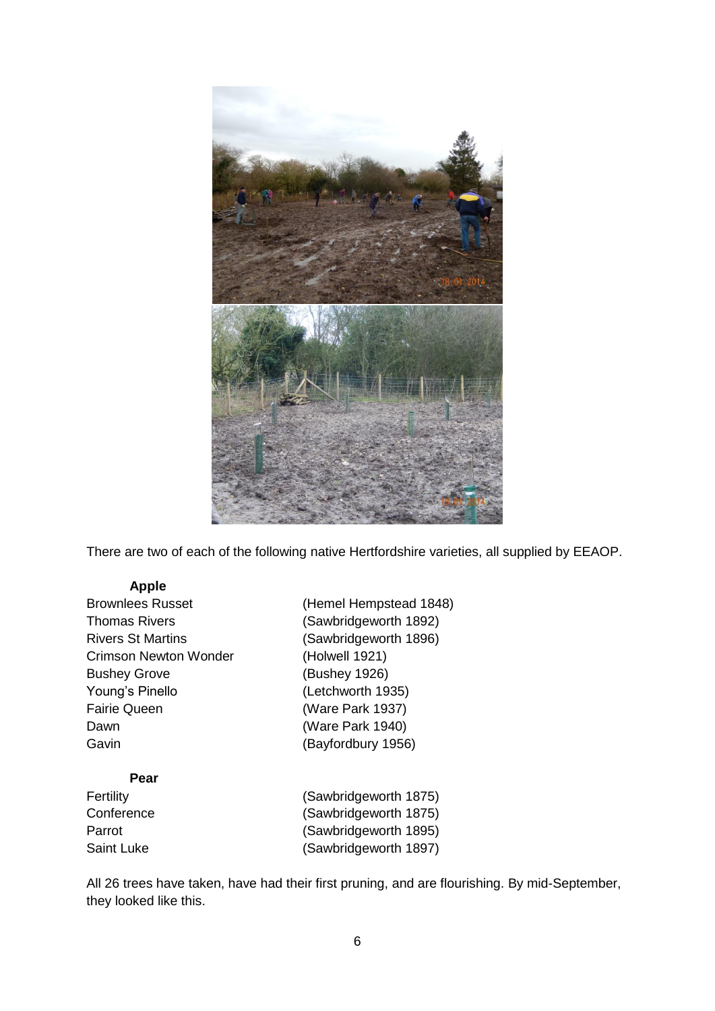

There are two of each of the following native Hertfordshire varieties, all supplied by EEAOP.

#### **Apple**

| Brownlees Russet         |
|--------------------------|
| Thomas Rivers            |
| <b>Rivers St Martins</b> |
| Crimson Newton Wonder    |
| <b>Bushey Grove</b>      |
| Young's Pinello          |
| <b>Fairie Queen</b>      |
| Dawn                     |
| Gavin                    |
|                          |

(Hemel Hempstead 1848) (Sawbridgeworth 1892) (Sawbridgeworth 1896) (Holwell 1921) (Bushey 1926) (Letchworth 1935) (Ware Park 1937) (Ware Park 1940) (Bayfordbury 1956)

# **Pear**

Fertility (Sawbridgeworth 1875) (Sawbridgeworth 1875) (Sawbridgeworth 1895) (Sawbridgeworth 1897)

All 26 trees have taken, have had their first pruning, and are flourishing. By mid-September, they looked like this.